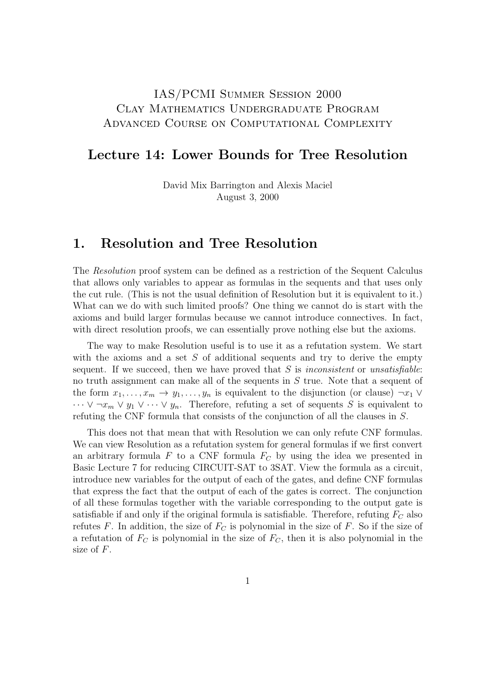## IAS/PCMI Summer Session 2000 Clay Mathematics Undergraduate Program Advanced Course on Computational Complexity

#### Lecture 14: Lower Bounds for Tree Resolution

David Mix Barrington and Alexis Maciel August 3, 2000

#### 1. Resolution and Tree Resolution

The Resolution proof system can be defined as a restriction of the Sequent Calculus that allows only variables to appear as formulas in the sequents and that uses only the cut rule. (This is not the usual definition of Resolution but it is equivalent to it.) What can we do with such limited proofs? One thing we cannot do is start with the axioms and build larger formulas because we cannot introduce connectives. In fact, with direct resolution proofs, we can essentially prove nothing else but the axioms.

The way to make Resolution useful is to use it as a refutation system. We start with the axioms and a set  $S$  of additional sequents and try to derive the empty sequent. If we succeed, then we have proved that  $S$  is inconsistent or unsatisfiable: no truth assignment can make all of the sequents in S true. Note that a sequent of the form  $x_1, \ldots, x_m \to y_1, \ldots, y_n$  is equivalent to the disjunction (or clause)  $\neg x_1 \vee \neg x_2$  $\cdots \vee \neg x_m \vee y_1 \vee \cdots \vee y_n$ . Therefore, refuting a set of sequents S is equivalent to refuting the CNF formula that consists of the conjunction of all the clauses in S.

This does not that mean that with Resolution we can only refute CNF formulas. We can view Resolution as a refutation system for general formulas if we first convert an arbitrary formula  $F$  to a CNF formula  $F<sub>C</sub>$  by using the idea we presented in Basic Lecture 7 for reducing CIRCUIT-SAT to 3SAT. View the formula as a circuit, introduce new variables for the output of each of the gates, and define CNF formulas that express the fact that the output of each of the gates is correct. The conjunction of all these formulas together with the variable corresponding to the output gate is satisfiable if and only if the original formula is satisfiable. Therefore, refuting  $F_C$  also refutes F. In addition, the size of  $F<sub>C</sub>$  is polynomial in the size of F. So if the size of a refutation of  $F_C$  is polynomial in the size of  $F_C$ , then it is also polynomial in the size of F.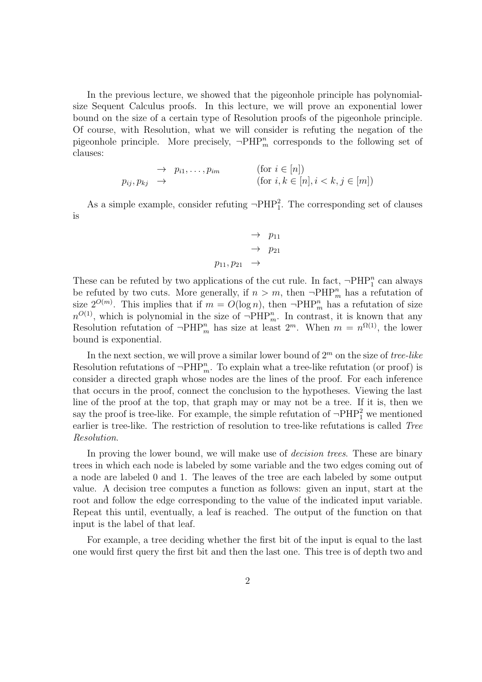In the previous lecture, we showed that the pigeonhole principle has polynomialsize Sequent Calculus proofs. In this lecture, we will prove an exponential lower bound on the size of a certain type of Resolution proofs of the pigeonhole principle. Of course, with Resolution, what we will consider is refuting the negation of the pigeonhole principle. More precisely,  $\neg \text{PHP}_m^n$  corresponds to the following set of clauses:

$$
\rightarrow p_{i1}, \dots, p_{im} \qquad \text{(for } i \in [n])
$$
\n
$$
p_{ij}, p_{kj} \rightarrow \qquad \text{(for } i, k \in [n], i < k, j \in [m])
$$

As a simple example, consider refuting  $\neg PHP_1^2$ . The corresponding set of clauses is

$$
\rightarrow p_{11} \n\rightarrow p_{21} \n p_{11}, p_{21} \rightarrow
$$

These can be refuted by two applications of the cut rule. In fact,  $\neg \mathrm{PHP}_1^n$  can always be refuted by two cuts. More generally, if  $n > m$ , then  $\neg \text{PHP}_m^n$  has a refutation of size  $2^{O(m)}$ . This implies that if  $m = O(\log n)$ , then  $\neg \text{PHP}_m^n$  has a refutation of size  $n^{O(1)}$ , which is polynomial in the size of  $\neg \text{PHP}_m^n$ . In contrast, it is known that any Resolution refutation of  $\neg \text{PHP}_m^n$  has size at least  $2^m$ . When  $m = n^{\Omega(1)}$ , the lower bound is exponential.

In the next section, we will prove a similar lower bound of  $2<sup>m</sup>$  on the size of tree-like Resolution refutations of  $\neg \text{PHP}_m^n$ . To explain what a tree-like refutation (or proof) is consider a directed graph whose nodes are the lines of the proof. For each inference that occurs in the proof, connect the conclusion to the hypotheses. Viewing the last line of the proof at the top, that graph may or may not be a tree. If it is, then we say the proof is tree-like. For example, the simple refutation of  $\neg PHP_1^2$  we mentioned earlier is tree-like. The restriction of resolution to tree-like refutations is called Tree Resolution.

In proving the lower bound, we will make use of *decision trees*. These are binary trees in which each node is labeled by some variable and the two edges coming out of a node are labeled 0 and 1. The leaves of the tree are each labeled by some output value. A decision tree computes a function as follows: given an input, start at the root and follow the edge corresponding to the value of the indicated input variable. Repeat this until, eventually, a leaf is reached. The output of the function on that input is the label of that leaf.

For example, a tree deciding whether the first bit of the input is equal to the last one would first query the first bit and then the last one. This tree is of depth two and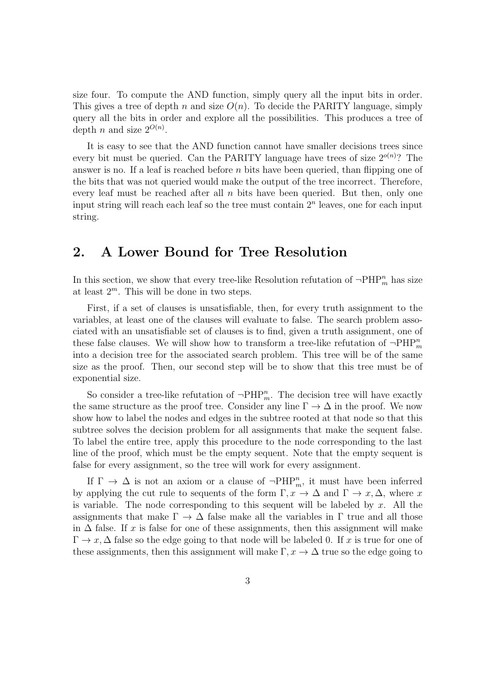size four. To compute the AND function, simply query all the input bits in order. This gives a tree of depth n and size  $O(n)$ . To decide the PARITY language, simply query all the bits in order and explore all the possibilities. This produces a tree of depth *n* and size  $2^{O(n)}$ .

It is easy to see that the AND function cannot have smaller decisions trees since every bit must be queried. Can the PARITY language have trees of size  $2^{o(n)}$ ? The answer is no. If a leaf is reached before  $n$  bits have been queried, than flipping one of the bits that was not queried would make the output of the tree incorrect. Therefore, every leaf must be reached after all  $n$  bits have been queried. But then, only one input string will reach each leaf so the tree must contain  $2<sup>n</sup>$  leaves, one for each input string.

### 2. A Lower Bound for Tree Resolution

In this section, we show that every tree-like Resolution refutation of  $\neg \text{PHP}_m^n$  has size at least  $2^m$ . This will be done in two steps.

First, if a set of clauses is unsatisfiable, then, for every truth assignment to the variables, at least one of the clauses will evaluate to false. The search problem associated with an unsatisfiable set of clauses is to find, given a truth assignment, one of these false clauses. We will show how to transform a tree-like refutation of  $\neg \text{PHP}_m^n$ into a decision tree for the associated search problem. This tree will be of the same size as the proof. Then, our second step will be to show that this tree must be of exponential size.

So consider a tree-like refutation of  $\neg \text{PHP}_m^n$ . The decision tree will have exactly the same structure as the proof tree. Consider any line  $\Gamma \to \Delta$  in the proof. We now show how to label the nodes and edges in the subtree rooted at that node so that this subtree solves the decision problem for all assignments that make the sequent false. To label the entire tree, apply this procedure to the node corresponding to the last line of the proof, which must be the empty sequent. Note that the empty sequent is false for every assignment, so the tree will work for every assignment.

If  $\Gamma \to \Delta$  is not an axiom or a clause of  $\neg \text{PHP}_m^n$ , it must have been inferred by applying the cut rule to sequents of the form  $\Gamma, x \to \Delta$  and  $\Gamma \to x, \Delta$ , where x is variable. The node corresponding to this sequent will be labeled by  $x$ . All the assignments that make  $\Gamma \to \Delta$  false make all the variables in  $\Gamma$  true and all those in  $\Delta$  false. If x is false for one of these assignments, then this assignment will make  $\Gamma \to x$ ,  $\Delta$  false so the edge going to that node will be labeled 0. If x is true for one of these assignments, then this assignment will make  $\Gamma, x \to \Delta$  true so the edge going to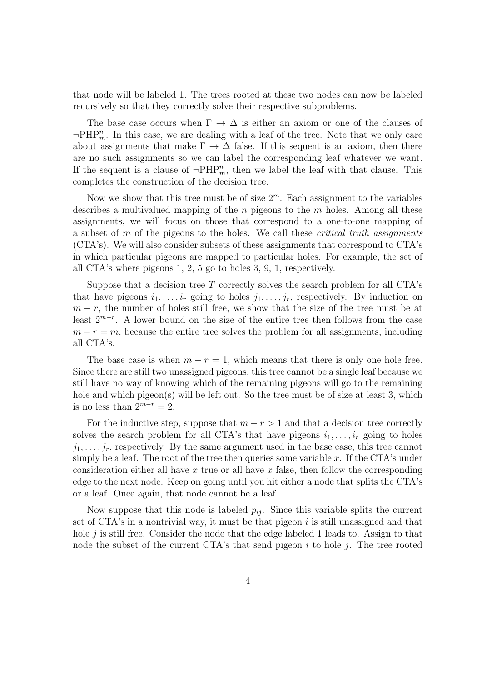that node will be labeled 1. The trees rooted at these two nodes can now be labeled recursively so that they correctly solve their respective subproblems.

The base case occurs when  $\Gamma \to \Delta$  is either an axiom or one of the clauses of  $\neg$ PHP<sup>n</sup><sub>m</sub>. In this case, we are dealing with a leaf of the tree. Note that we only care about assignments that make  $\Gamma \to \Delta$  false. If this sequent is an axiom, then there are no such assignments so we can label the corresponding leaf whatever we want. If the sequent is a clause of  $\neg \text{PHP}_m^n$ , then we label the leaf with that clause. This completes the construction of the decision tree.

Now we show that this tree must be of size  $2^m$ . Each assignment to the variables describes a multivalued mapping of the  $n$  pigeons to the  $m$  holes. Among all these assignments, we will focus on those that correspond to a one-to-one mapping of a subset of  $m$  of the pigeons to the holes. We call these *critical truth assignments* (CTA's). We will also consider subsets of these assignments that correspond to CTA's in which particular pigeons are mapped to particular holes. For example, the set of all CTA's where pigeons 1, 2, 5 go to holes 3, 9, 1, respectively.

Suppose that a decision tree  $T$  correctly solves the search problem for all CTA's that have pigeons  $i_1, \ldots, i_r$  going to holes  $j_1, \ldots, j_r$ , respectively. By induction on  $m - r$ , the number of holes still free, we show that the size of the tree must be at least 2<sup>m</sup>−<sup>r</sup> . A lower bound on the size of the entire tree then follows from the case  $m - r = m$ , because the entire tree solves the problem for all assignments, including all CTA's.

The base case is when  $m - r = 1$ , which means that there is only one hole free. Since there are still two unassigned pigeons, this tree cannot be a single leaf because we still have no way of knowing which of the remaining pigeons will go to the remaining hole and which pigeon(s) will be left out. So the tree must be of size at least 3, which is no less than  $2^{m-r} = 2$ .

For the inductive step, suppose that  $m - r > 1$  and that a decision tree correctly solves the search problem for all CTA's that have pigeons  $i_1, \ldots, i_r$  going to holes  $j_1, \ldots, j_r$ , respectively. By the same argument used in the base case, this tree cannot simply be a leaf. The root of the tree then queries some variable  $x$ . If the CTA's under consideration either all have x true or all have x false, then follow the corresponding edge to the next node. Keep on going until you hit either a node that splits the CTA's or a leaf. Once again, that node cannot be a leaf.

Now suppose that this node is labeled  $p_{ij}$ . Since this variable splits the current set of CTA's in a nontrivial way, it must be that pigeon  $i$  is still unassigned and that hole  $i$  is still free. Consider the node that the edge labeled 1 leads to. Assign to that node the subset of the current CTA's that send pigeon  $i$  to hole  $j$ . The tree rooted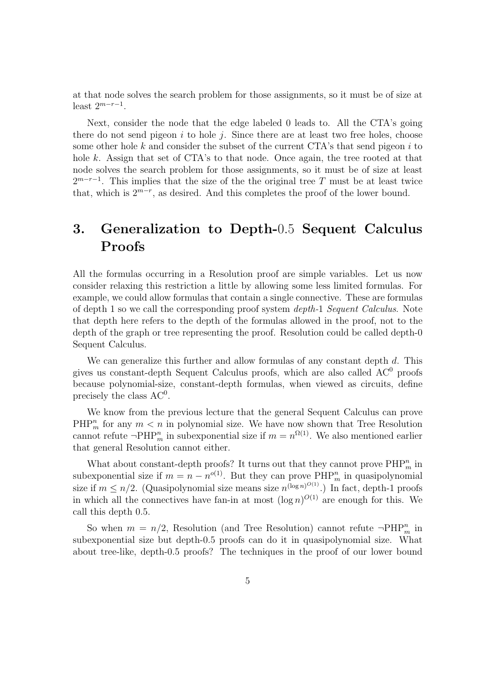at that node solves the search problem for those assignments, so it must be of size at least  $2^{m-r-1}$ .

Next, consider the node that the edge labeled 0 leads to. All the CTA's going there do not send pigeon  $i$  to hole  $j$ . Since there are at least two free holes, choose some other hole  $k$  and consider the subset of the current CTA's that send pigeon  $i$  to hole k. Assign that set of CTA's to that node. Once again, the tree rooted at that node solves the search problem for those assignments, so it must be of size at least  $2^{m-r-1}$ . This implies that the size of the the original tree T must be at least twice that, which is  $2^{m-r}$ , as desired. And this completes the proof of the lower bound.

# 3. Generalization to Depth-0.5 Sequent Calculus Proofs

All the formulas occurring in a Resolution proof are simple variables. Let us now consider relaxing this restriction a little by allowing some less limited formulas. For example, we could allow formulas that contain a single connective. These are formulas of depth 1 so we call the corresponding proof system depth-1 Sequent Calculus. Note that depth here refers to the depth of the formulas allowed in the proof, not to the depth of the graph or tree representing the proof. Resolution could be called depth-0 Sequent Calculus.

We can generalize this further and allow formulas of any constant depth  $d$ . This gives us constant-depth Sequent Calculus proofs, which are also called  $AC^0$  proofs because polynomial-size, constant-depth formulas, when viewed as circuits, define precisely the class  $AC^0$ .

We know from the previous lecture that the general Sequent Calculus can prove  $\text{PHP}_m^n$  for any  $m < n$  in polynomial size. We have now shown that Tree Resolution cannot refute  $\neg \text{PHP}_m^n$  in subexponential size if  $m = n^{\Omega(1)}$ . We also mentioned earlier that general Resolution cannot either.

What about constant-depth proofs? It turns out that they cannot prove  $\text{PHP}_m^n$  in subexponential size if  $m = n - n^{o(1)}$ . But they can prove  $\text{PHP}_m^n$  in quasipolynomial size if  $m \leq n/2$ . (Quasipolynomial size means size  $n^{(\log n)^{O(1)}}$ .) In fact, depth-1 proofs in which all the connectives have fan-in at most  $(\log n)^{O(1)}$  are enough for this. We call this depth 0.5.

So when  $m = n/2$ , Resolution (and Tree Resolution) cannot refute  $\neg \text{PHP}_m^n$  in subexponential size but depth-0.5 proofs can do it in quasipolynomial size. What about tree-like, depth-0.5 proofs? The techniques in the proof of our lower bound